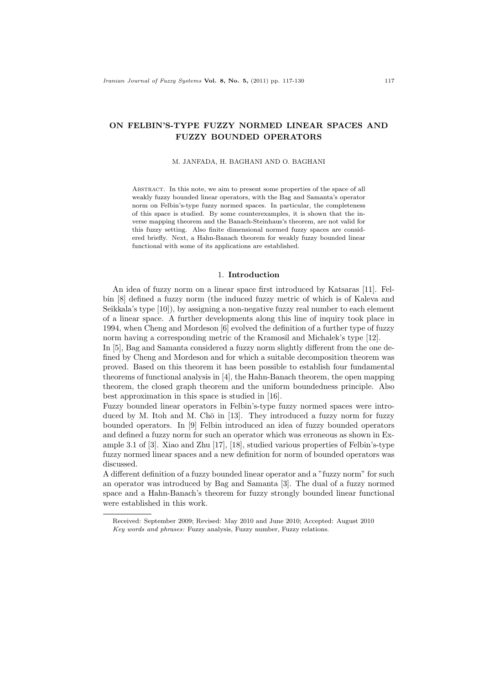# ON FELBIN'S-TYPE FUZZY NORMED LINEAR SPACES AND FUZZY BOUNDED OPERATORS

#### M. JANFADA, H. BAGHANI AND O. BAGHANI

Abstract. In this note, we aim to present some properties of the space of all weakly fuzzy bounded linear operators, with the Bag and Samanta's operator norm on Felbin's-type fuzzy normed spaces. In particular, the completeness of this space is studied. By some counterexamples, it is shown that the inverse mapping theorem and the Banach-Steinhaus's theorem, are not valid for this fuzzy setting. Also finite dimensional normed fuzzy spaces are considered briefly. Next, a Hahn-Banach theorem for weakly fuzzy bounded linear functional with some of its applications are established.

### 1. Introduction

An idea of fuzzy norm on a linear space first introduced by Katsaras [11]. Felbin [8] defined a fuzzy norm (the induced fuzzy metric of which is of Kaleva and Seikkala's type [10]), by assigning a non-negative fuzzy real number to each element of a linear space. A further developments along this line of inquiry took place in 1994, when Cheng and Mordeson [6] evolved the definition of a further type of fuzzy norm having a corresponding metric of the Kramosil and Michalek's type [12].

In [5], Bag and Samanta considered a fuzzy norm slightly different from the one defined by Cheng and Mordeson and for which a suitable decomposition theorem was proved. Based on this theorem it has been possible to establish four fundamental theorems of functional analysis in [4], the Hahn-Banach theorem, the open mapping theorem, the closed graph theorem and the uniform boundedness principle. Also best approximation in this space is studied in [16].

Fuzzy bounded linear operators in Felbin's-type fuzzy normed spaces were introduced by M. Itoh and M. Ch $\bar{o}$  in [13]. They introduced a fuzzy norm for fuzzy bounded operators. In [9] Felbin introduced an idea of fuzzy bounded operators and defined a fuzzy norm for such an operator which was erroneous as shown in Example 3.1 of [3]. Xiao and Zhu [17], [18], studied various properties of Felbin's-type fuzzy normed linear spaces and a new definition for norm of bounded operators was discussed.

A different definition of a fuzzy bounded linear operator and a "fuzzy norm" for such an operator was introduced by Bag and Samanta [3]. The dual of a fuzzy normed space and a Hahn-Banach's theorem for fuzzy strongly bounded linear functional were established in this work.

Received: September 2009; Revised: May 2010 and June 2010; Accepted: August 2010 Key words and phrases: Fuzzy analysis, Fuzzy number, Fuzzy relations.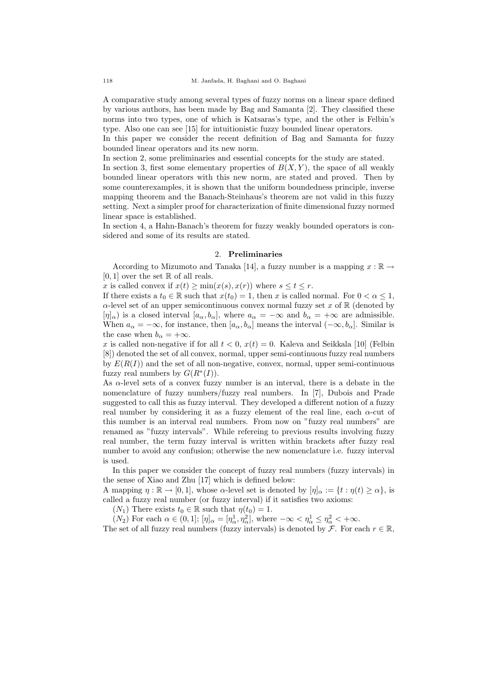A comparative study among several types of fuzzy norms on a linear space defined by various authors, has been made by Bag and Samanta [2]. They classified these norms into two types, one of which is Katsaras's type, and the other is Felbin's type. Also one can see [15] for intuitionistic fuzzy bounded linear operators.

In this paper we consider the recent definition of Bag and Samanta for fuzzy bounded linear operators and its new norm.

In section 2, some preliminaries and essential concepts for the study are stated.

In section 3, first some elementary properties of  $B(X, Y)$ , the space of all weakly bounded linear operators with this new norm, are stated and proved. Then by some counterexamples, it is shown that the uniform boundedness principle, inverse mapping theorem and the Banach-Steinhaus's theorem are not valid in this fuzzy setting. Next a simpler proof for characterization of finite dimensional fuzzy normed linear space is established.

In section 4, a Hahn-Banach's theorem for fuzzy weakly bounded operators is considered and some of its results are stated.

### 2. Preliminaries

According to Mizumoto and Tanaka [14], a fuzzy number is a mapping  $x : \mathbb{R} \to$  $[0, 1]$  over the set  $\mathbb R$  of all reals.

x is called convex if  $x(t) \ge \min(x(s), x(r))$  where  $s \le t \le r$ .

If there exists a  $t_0 \in \mathbb{R}$  such that  $x(t_0) = 1$ , then x is called normal. For  $0 < \alpha \leq 1$ ,  $\alpha$ -level set of an upper semicontinuous convex normal fuzzy set x of R (denoted by  $[\eta]_{\alpha}$ ) is a closed interval  $[a_{\alpha}, b_{\alpha}]$ , where  $a_{\alpha} = -\infty$  and  $b_{\alpha} = +\infty$  are admissible. When  $a_{\alpha} = -\infty$ , for instance, then  $[a_{\alpha}, b_{\alpha}]$  means the interval  $(-\infty, b_{\alpha}]$ . Similar is the case when  $b_{\alpha} = +\infty$ .

x is called non-negative if for all  $t < 0$ ,  $x(t) = 0$ . Kaleva and Seikkala [10] (Felbin [8]) denoted the set of all convex, normal, upper semi-continuous fuzzy real numbers by  $E(R(I))$  and the set of all non-negative, convex, normal, upper semi-continuous fuzzy real numbers by  $G(R^*(I)).$ 

As  $\alpha$ -level sets of a convex fuzzy number is an interval, there is a debate in the nomenclature of fuzzy numbers/fuzzy real numbers. In [7], Dubois and Prade suggested to call this as fuzzy interval. They developed a different notion of a fuzzy real number by considering it as a fuzzy element of the real line, each  $\alpha$ -cut of this number is an interval real numbers. From now on "fuzzy real numbers" are renamed as "fuzzy intervals". While refereing to previous results involving fuzzy real number, the term fuzzy interval is written within brackets after fuzzy real number to avoid any confusion; otherwise the new nomenclature i.e. fuzzy interval is used.

In this paper we consider the concept of fuzzy real numbers (fuzzy intervals) in the sense of Xiao and Zhu [17] which is defined below:

A mapping  $\eta : \mathbb{R} \to [0, 1]$ , whose  $\alpha$ -level set is denoted by  $[\eta]_{\alpha} := \{t : \eta(t) \geq \alpha\}$ , is called a fuzzy real number (or fuzzy interval) if it satisfies two axioms:

 $(N_1)$  There exists  $t_0 \in \mathbb{R}$  such that  $\eta(t_0) = 1$ .

 $(N_2)$  For each  $\alpha \in (0,1]$ ;  $[\eta]_{\alpha} = [\eta_{\alpha}^1, \eta_{\alpha}^2]$ , where  $-\infty < \eta_{\alpha}^1 \leq \eta_{\alpha}^2 < +\infty$ .

The set of all fuzzy real numbers (fuzzy intervals) is denoted by  $\mathcal{F}$ . For each  $r \in \mathbb{R}$ ,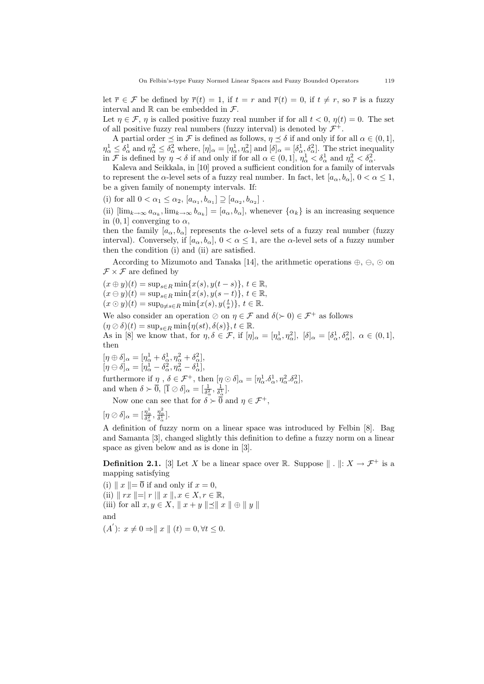let  $\overline{r} \in \mathcal{F}$  be defined by  $\overline{r}(t) = 1$ , if  $t = r$  and  $\overline{r}(t) = 0$ , if  $t \neq r$ , so  $\overline{r}$  is a fuzzy interval and  $\mathbb R$  can be embedded in  $\mathcal F$ .

Let  $\eta \in \mathcal{F}$ ,  $\eta$  is called positive fuzzy real number if for all  $t < 0$ ,  $\eta(t) = 0$ . The set of all positive fuzzy real numbers (fuzzy interval) is denoted by  $\mathcal{F}^+$ .

A partial order  $\leq$  in F is defined as follows,  $\eta \leq \delta$  if and only if for all  $\alpha \in (0,1],$  $\eta_{\alpha}^1 \leq \delta_{\alpha}^1$  and  $\eta_{\alpha}^2 \leq \delta_{\alpha}^2$  where,  $[\eta_{\alpha}^1 = [\eta_{\alpha}^1, \eta_{\alpha}^2]$  and  $[\delta]_{\alpha} = [\delta_{\alpha}^1, \delta_{\alpha}^2]$ . The strict inequality in F is defined by  $\eta \prec \delta$  if and only if for all  $\alpha \in (0,1]$ ,  $\eta_{\alpha}^1 < \delta_{\alpha}^1$  and  $\eta_{\alpha}^2 < \delta_{\alpha}^2$ .

Kaleva and Seikkala, in [10] proved a sufficient condition for a family of intervals to represent the  $\alpha$ -level sets of a fuzzy real number. In fact, let  $[a_{\alpha}, b_{\alpha}], 0 < \alpha \leq 1$ , be a given family of nonempty intervals. If:

(i) for all  $0 < \alpha_1 \leq \alpha_2$ ,  $[a_{\alpha_1}, b_{\alpha_1}] \supseteq [a_{\alpha_2}, b_{\alpha_2}]$ .

(ii)  $[\lim_{k\to\infty} a_{\alpha_k}, \lim_{k\to\infty} b_{\alpha_k}] = [a_{\alpha}, b_{\alpha}],$  whenever  $\{\alpha_k\}$  is an increasing sequence in  $(0, 1]$  converging to  $\alpha$ ,

then the family  $[a_{\alpha}, b_{\alpha}]$  represents the  $\alpha$ -level sets of a fuzzy real number (fuzzy interval). Conversely, if  $[a_{\alpha}, b_{\alpha}], 0 < \alpha \leq 1$ , are the  $\alpha$ -level sets of a fuzzy number then the condition (i) and (ii) are satisfied.

According to Mizumoto and Tanaka [14], the arithmetic operations  $\oplus$ ,  $\ominus$ ,  $\odot$  on  $\mathcal{F} \times \mathcal{F}$  are defined by

$$
(x \oplus y)(t) = \sup_{s \in R} \min\{x(s), y(t-s)\}, t \in \mathbb{R},
$$
  
\n
$$
(x \ominus y)(t) = \sup_{s \in R} \min\{x(s), y(s-t)\}, t \in \mathbb{R},
$$
  
\n
$$
(x \odot y)(t) = \sup_{0 \neq s \in R} \min\{x(s), y(\frac{t}{s})\}, t \in \mathbb{R}.
$$

We also consider an operation  $\oslash$  on  $\eta \in \mathcal{F}$  and  $\delta(\succ 0) \in \mathcal{F}^+$  as follows  $(\eta \oslash \delta)(t) = \sup_{s \in B} \min{\{\eta(st), \delta(s)\}, t \in \mathbb{R}.}$ 

As in [8] we know that, for  $\eta, \delta \in \mathcal{F}$ , if  $[\eta]_{\alpha} = [\eta_{\alpha}^1, \eta_{\alpha}^2]$ ,  $[\delta]_{\alpha} = [\delta_{\alpha}^1, \delta_{\alpha}^2]$ ,  $\alpha \in (0, 1]$ , then

$$
[\eta \oplus \delta]_{\alpha} = [\eta_{\alpha}^1 + \delta_{\alpha}^1, \eta_{\alpha}^2 + \delta_{\alpha}^2],
$$
  

$$
[\eta \ominus \delta]_{\alpha} = [\eta_{\alpha}^1 - \delta_{\alpha}^2, \eta_{\alpha}^2 - \delta_{\alpha}^1],
$$

furthermore if  $\eta$ ,  $\delta \in \mathcal{F}^+$ , then  $[\eta \odot \delta]_{\alpha} = [\eta_{\alpha}^1 \cdot \delta_{\alpha}^1, \eta_{\alpha}^2 \cdot \delta_{\alpha}^2]$ , and when  $\delta \succ \overline{0}$ ,  $[\overline{1} \oslash \delta]_{\alpha} = \left[\frac{1}{\delta_{\alpha}^2}, \frac{1}{\delta_{\alpha}^1}\right]$ .

Now one can see that for  $\delta \succ 0$  and  $\eta \in \mathcal{F}^+$ ,

$$
[\eta \oslash \delta]_{\alpha} = [\frac{\eta_{\alpha}^{1}}{\delta_{\alpha}^{2}}, \frac{\eta_{\alpha}^{2}}{\delta_{\alpha}^{1}}].
$$

A definition of fuzzy norm on a linear space was introduced by Felbin [8]. Bag and Samanta [3], changed slightly this definition to define a fuzzy norm on a linear space as given below and as is done in [3].

**Definition 2.1.** [3] Let X be a linear space over R. Suppose  $\|\cdot\|: X \to \mathcal{F}^+$  is a mapping satisfying

(i)  $\|x\| = \overline{0}$  if and only if  $x = 0$ , (ii)  $\| rx \| = |r| \| x \|, x \in X, r \in \mathbb{R},$ (iii) for all  $x, y \in X$ ,  $||x + y|| \preceq ||x|| \oplus ||y||$ and  $(A')$ :  $x \neq 0 \Rightarrow || x || (t) = 0, \forall t \leq 0.$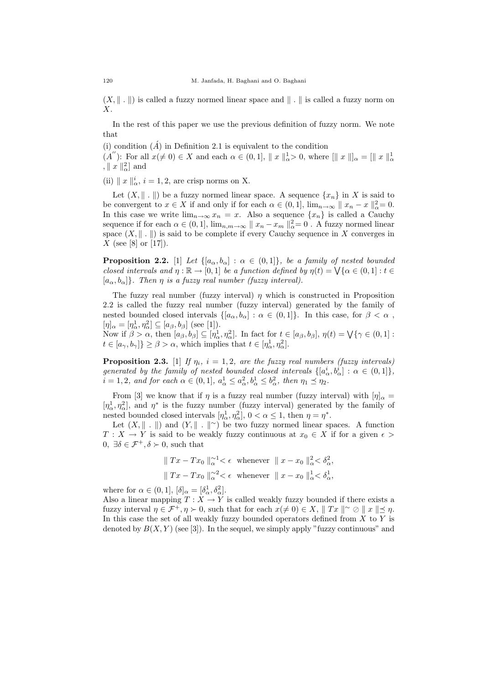$(X, \| \cdot \|)$  is called a fuzzy normed linear space and  $\| \cdot \|$  is called a fuzzy norm on X.

In the rest of this paper we use the previous definition of fuzzy norm. We note that

(i) condition  $(\hat{A})$  in Definition 2.1 is equivalent to the condition

 $(A'')$ : For all  $x(\neq 0) \in X$  and each  $\alpha \in (0,1], \|x\|_{\alpha}^{1} > 0$ , where  $[\|x\|_{\alpha}^{1} = [\|x\|_{\alpha}^{1}]$ ,  $\parallel x \parallel_{\alpha}^{2} \parallel$  and

(ii)  $\|x\|_{\alpha}^{i}$ ,  $i = 1, 2$ , are crisp norms on X.

Let  $(X, \| \| \|)$  be a fuzzy normed linear space. A sequence  $\{x_n\}$  in X is said to be convergent to  $x \in X$  if and only if for each  $\alpha \in (0,1]$ ,  $\lim_{n \to \infty} ||x_n - x||^2_{\alpha} = 0$ . In this case we write  $\lim_{n\to\infty} x_n = x$ . Also a sequence  $\{x_n\}$  is called a Cauchy sequence if for each  $\alpha \in (0, 1]$ ,  $\lim_{n,m \to \infty} ||x_n - x_m||^2_{\alpha} = 0$ . A fuzzy normed linear space  $(X, \| \cdot \|)$  is said to be complete if every Cauchy sequence in X converges in  $X$  (see [8] or [17]).

**Proposition 2.2.** [1] Let  $\{[a_{\alpha}, b_{\alpha}] : \alpha \in (0,1]\}$ , be a family of nested bounded closed intervals and  $\eta : \mathbb{R} \to [0,1]$  be a function defined by  $\eta(t) = \bigvee \{\alpha \in (0,1] : t \in$  $[a_{\alpha}, b_{\alpha}]$ . Then  $\eta$  is a fuzzy real number (fuzzy interval).

The fuzzy real number (fuzzy interval)  $\eta$  which is constructed in Proposition 2.2 is called the fuzzy real number (fuzzy interval) generated by the family of nested bounded closed intervals  $\{[a_{\alpha}, b_{\alpha}] : \alpha \in (0,1]\}.$  In this case, for  $\beta < \alpha$ ,  $[\eta]_{\alpha} = [\eta_{\alpha}^1, \eta_{\alpha}^2] \subseteq [a_{\beta}, b_{\beta}]$  (see [1]). Now if  $\beta > \alpha$ , then  $[a_{\beta}, b_{\beta}] \subseteq [\eta_{\alpha}^1, \eta_{\alpha}^2]$ . In fact for  $t \in [a_{\beta}, b_{\beta}]$ ,  $\eta(t) = \bigvee \{\gamma \in (0, 1] :$ 

 $t \in [a_{\gamma}, b_{\gamma}] \geq \beta > \alpha$ , which implies that  $t \in [\eta_{\alpha}^1, \eta_{\alpha}^2]$ .

**Proposition 2.3.** [1] If  $\eta_i$ ,  $i = 1, 2$ , are the fuzzy real numbers (fuzzy intervals) generated by the family of nested bounded closed intervals  $\{[a^i_\alpha, b^i_\alpha] : \alpha \in (0,1]\},$  $i = 1, 2, \text{ and for each } \alpha \in (0, 1], \ a^1_{\alpha} \leq a^2_{\alpha}, b^1_{\alpha} \leq b^2_{\alpha}, \text{ then } \eta_1 \preceq \eta_2.$ 

From [3] we know that if  $\eta$  is a fuzzy real number (fuzzy interval) with  $[\eta]_{\alpha} =$  $[\eta_{\alpha}^1, \eta_{\alpha}^2]$ , and  $\eta^*$  is the fuzzy number (fuzzy interval) generated by the family of nested bounded closed intervals  $[\eta_\alpha^1, \eta_\alpha^2]$ ,  $0 < \alpha \le 1$ , then  $\eta = \eta^*$ .

Let  $(X, \| \| \cdot \|)$  and  $(Y, \| \| \cdot \|^{\infty})$  be two fuzzy normed linear spaces. A function  $T: X \to Y$  is said to be weakly fuzzy continuous at  $x_0 \in X$  if for a given  $\epsilon >$  $0, \exists \delta \in \mathcal{F}^+, \delta \succ 0$ , such that

$$
\|Tx - Tx_0\|_{\alpha}^{\alpha 1} < \epsilon \text{ whenever } \|x - x_0\|_{\alpha}^2 < \delta_{\alpha}^2,
$$
  

$$
\|Tx - Tx_0\|_{\alpha}^{\alpha 2} < \epsilon \text{ whenever } \|x - x_0\|_{\alpha}^1 < \delta_{\alpha}^1,
$$

where for  $\alpha \in (0, 1], [\delta]_{\alpha} = [\delta_{\alpha}^1, \delta_{\alpha}^2].$ 

Also a linear mapping  $T : X \to Y$  is called weakly fuzzy bounded if there exists a fuzzy interval  $\eta \in \mathcal{F}^+, \eta \succ 0$ , such that for each  $x (\neq 0) \in X$ ,  $\Vert Tx \Vert^{\sim} \oslash \Vert x \Vert \leq \eta$ . In this case the set of all weakly fuzzy bounded operators defined from  $X$  to  $Y$  is denoted by  $B(X, Y)$  (see [3]). In the sequel, we simply apply "fuzzy continuous" and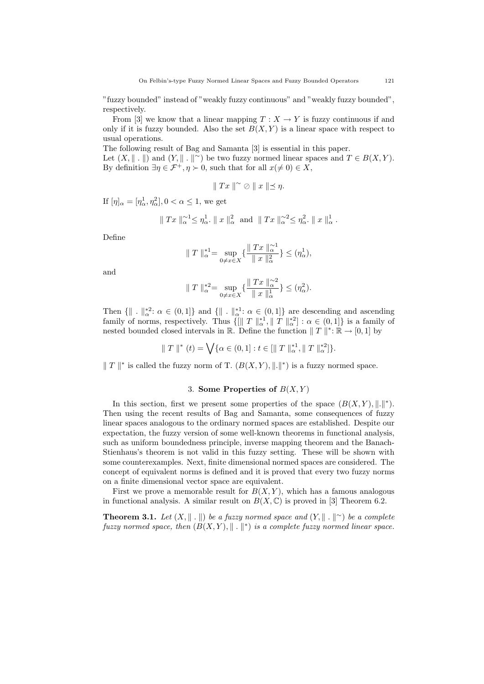"fuzzy bounded" instead of "weakly fuzzy continuous" and "weakly fuzzy bounded", respectively.

From [3] we know that a linear mapping  $T : X \to Y$  is fuzzy continuous if and only if it is fuzzy bounded. Also the set  $B(X, Y)$  is a linear space with respect to usual operations.

The following result of Bag and Samanta [3] is essential in this paper. Let  $(X, \| \| \cdot \|)$  and  $(Y, \| \| \cdot \|^{\infty})$  be two fuzzy normed linear spaces and  $T \in B(X, Y)$ . By definition  $\exists \eta \in \mathcal{F}^+, \eta \succ 0$ , such that for all  $x(\neq 0) \in X$ ,

$$
\parallel Tx \parallel^{\sim} \oslash \parallel x \parallel \leq \eta.
$$

If  $[\eta]_{\alpha} = [\eta_{\alpha}^1, \eta_{\alpha}^2], 0 < \alpha \le 1$ , we get

$$
\parallel Tx \parallel_{\alpha}^{\sim 1} \leq \eta_{\alpha}^{1}.\parallel x \parallel_{\alpha}^{2} \text{ and } \parallel Tx \parallel_{\alpha}^{\sim 2} \leq \eta_{\alpha}^{2}.\parallel x \parallel_{\alpha}^{1}.
$$

Define

$$
\| T \|_{\alpha}^{*1} = \sup_{0 \neq x \in X} \{ \frac{\| Tx \|_{\alpha}^{>1}}{\| x \|_{\alpha}^{2}} \} \leq (\eta_{\alpha}^{1}),
$$

and

$$
||T||_{\alpha}^{*2} = \sup_{0 \neq x \in X} \{ \frac{||Tx||_{\alpha}^{22}}{||x||_{\alpha}^{1}} \} \leq (\eta_{\alpha}^{2}).
$$

Then  $\{\|\cdot\|_{\alpha}^{*2}:\alpha\in(0,1]\}\$  and  $\{\|\cdot\|_{\alpha}^{*1}:\alpha\in(0,1]\}\$  are descending and ascending family of norms, respectively. Thus  $\{ \| T \|_{\alpha}^{*1}, \| T \|_{\alpha}^{*2} \} : \alpha \in (0,1] \}$  is a family of nested bounded closed intervals in  $\mathbb{R}$ . Define the function  $|| T ||^* : \mathbb{R} \to [0, 1]$  by

$$
\| T \|^{*} (t) = \bigvee \{ \alpha \in (0,1] : t \in [\| T \|^{*1}_{\alpha}, \| T \|^{*2}_{\alpha} ] \}.
$$

 $||T||^*$  is called the fuzzy norm of T.  $(B(X, Y), ||.||^*)$  is a fuzzy normed space.

## 3. Some Properties of  $B(X, Y)$

In this section, first we present some properties of the space  $(B(X, Y), \|.\|^*)$ . Then using the recent results of Bag and Samanta, some consequences of fuzzy linear spaces analogous to the ordinary normed spaces are established. Despite our expectation, the fuzzy version of some well-known theorems in functional analysis, such as uniform boundedness principle, inverse mapping theorem and the Banach-Stienhaus's theorem is not valid in this fuzzy setting. These will be shown with some counterexamples. Next, finite dimensional normed spaces are considered. The concept of equivalent norms is defined and it is proved that every two fuzzy norms on a finite dimensional vector space are equivalent.

First we prove a memorable result for  $B(X, Y)$ , which has a famous analogous in functional analysis. A similar result on  $B(X, \mathbb{C})$  is proved in [3] Theorem 6.2.

**Theorem 3.1.** Let  $(X, \| \| \cdot \|)$  be a fuzzy normed space and  $(Y, \| \| \cdot \|^{\infty})$  be a complete fuzzy normed space, then  $(B(X, Y), \| \cdot \|^{*})$  is a complete fuzzy normed linear space.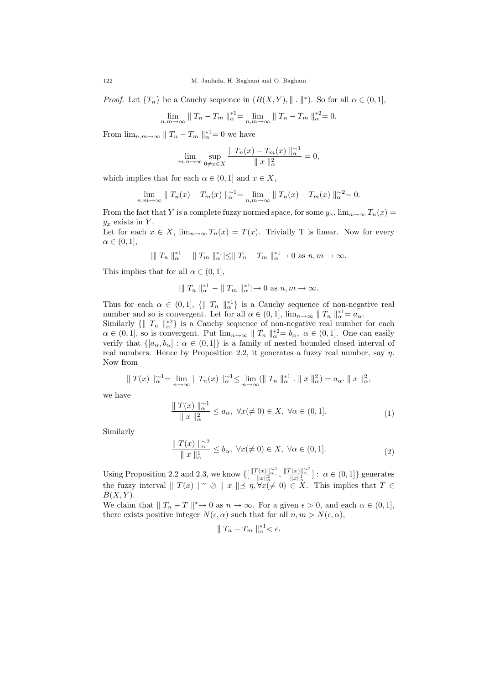*Proof.* Let  $\{T_n\}$  be a Cauchy sequence in  $(B(X, Y), \| \cdot \|^*)$ . So for all  $\alpha \in (0, 1]$ ,

$$
\lim_{n,m \to \infty} \|T_n - T_m\|_{\alpha}^{*1} = \lim_{n,m \to \infty} \|T_n - T_m\|_{\alpha}^{*2} = 0.
$$

From  $\lim_{n,m\to\infty}$   $||T_n - T_m||_{\alpha}^{*1} = 0$  we have

$$
\lim_{m,n \to \infty} \sup_{0 \neq x \in X} \frac{\| T_n(x) - T_m(x) \|_{\alpha}^{\sim 1}}{\| x \|_{\alpha}^2} = 0,
$$

which implies that for each  $\alpha \in (0,1]$  and  $x \in X$ ,

$$
\lim_{n,m \to \infty} \| T_n(x) - T_m(x) \|_{\alpha}^{2} = \lim_{n,m \to \infty} \| T_n(x) - T_m(x) \|_{\alpha}^{2} = 0.
$$

From the fact that Y is a complete fuzzy normed space, for some  $y_x$ ,  $\lim_{n\to\infty}T_n(x)$  $y_x$  exists in Y.

Let for each  $x \in X$ ,  $\lim_{n\to\infty} T_n(x) = T(x)$ . Trivially T is linear. Now for every  $\alpha \in (0,1],$ 

$$
\left|\left\|\right.T_n\right\|_{\alpha}^{*1} - \left\|\left.T_m\right\|_{\alpha}^{*1}\right| \leq \left\|\left.T_n - T_m\right\|_{\alpha}^{*1} \to 0 \text{ as } n,m \to \infty.
$$

This implies that for all  $\alpha \in (0, 1]$ ,

$$
\left|\left|\right|T_n\right|_{\alpha}^{*1} - \left|\left|T_m\right|\right|_{\alpha}^{*1} \left|\to 0\right| \text{ as } n,m \to \infty.
$$

Thus for each  $\alpha \in (0,1], \{||T_n||_{\alpha}^{*1}\}\$ is a Cauchy sequence of non-negative real number and so is convergent. Let for all  $\alpha \in (0,1]$ ,  $\lim_{n\to\infty} ||T_n||_{\alpha}^{*1} = a_{\alpha}$ .

Similarly  $\{ \| T_n \|_{\alpha}^{*2} \}$  is a Cauchy sequence of non-negative real number for each  $\alpha \in (0,1],$  so is convergent. Put  $\lim_{n\to\infty} ||T_n||_{\alpha}^{*2} = b_{\alpha}, \ \alpha \in (0,1].$  One can easily verify that  $\{[a_{\alpha}, b_{\alpha}] : \alpha \in (0,1]\}$  is a family of nested bounded closed interval of real numbers. Hence by Proposition 2.2, it generates a fuzzy real number, say  $\eta$ . Now from

$$
\|T(x)\|_{\alpha}^{\infty} = \lim_{n \to \infty} \|T_n(x)\|_{\alpha}^{\infty} \le \lim_{n \to \infty} (\|T_n\|_{\alpha}^{*1} \cdot \|x\|_{\alpha}^{2}) = a_{\alpha} \cdot \|x\|_{\alpha}^{2},
$$

we have

$$
\frac{\|T(x)\|_{\alpha}^{\infty 1}}{\|x\|_{\alpha}^2} \le a_{\alpha}, \ \forall x (\ne 0) \in X, \ \forall \alpha \in (0,1].
$$
 (1)

Similarly

$$
\frac{\|T(x)\|_{\alpha}^{\alpha 2}}{\|x\|_{\alpha}^1} \le b_{\alpha}, \ \forall x (\ne 0) \in X, \ \forall \alpha \in (0,1]. \tag{2}
$$

Using Proposition 2.2 and 2.3, we know  $\{\left[\frac{||T(x)||_{\alpha}^{2}}{||x||_{\alpha}^{2}}, \frac{||T(x)||_{\alpha}^{2}}{||x||_{\alpha}^{1}}\right] : \alpha \in (0, 1]\}$  generates the fuzzy interval  $\|T(x)\| \leq \infty$   $\|x\| \leq \eta, \forall x \neq 0$   $\in X$ . This implies that  $T \in$  $B(X, Y)$ .

We claim that  $||T_n - T||^* \to 0$  as  $n \to \infty$ . For a given  $\epsilon > 0$ , and each  $\alpha \in (0, 1]$ , there exists positive integer  $N(\epsilon, \alpha)$  such that for all  $n, m > N(\epsilon, \alpha)$ ,

$$
\|T_n-T_m\|_{\alpha}^{*1}<\epsilon.
$$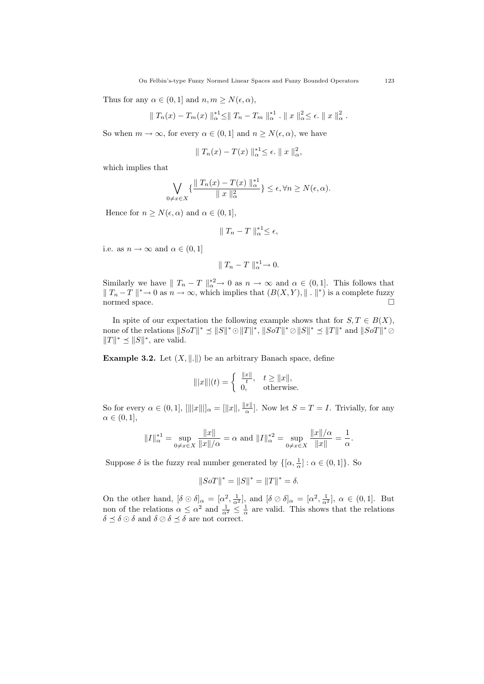Thus for any  $\alpha \in (0,1]$  and  $n, m \geq N(\epsilon, \alpha)$ ,

$$
|| T_n(x) - T_m(x) ||_{\alpha}^{*1} \le || T_n - T_m ||_{\alpha}^{*1} . || x ||_{\alpha}^{2} \le \epsilon.
$$
  $|| x ||_{\alpha}^{2} .$ 

So when  $m \to \infty$ , for every  $\alpha \in (0, 1]$  and  $n \geq N(\epsilon, \alpha)$ , we have

$$
\|T_n(x) - T(x)\|_{\alpha}^{*1} \leq \epsilon. \|x\|_{\alpha}^2,
$$

which implies that

$$
\bigvee_{0 \neq x \in X} \{ \frac{\|T_n(x) - T(x) \|_{\alpha}^*}{\|x\|_{\alpha}^2} \} \leq \epsilon, \forall n \geq N(\epsilon, \alpha).
$$

Hence for  $n \geq N(\epsilon, \alpha)$  and  $\alpha \in (0, 1],$ 

$$
\|T_n - T\|_{\alpha}^{*1} \leq \epsilon,
$$

i.e. as  $n \to \infty$  and  $\alpha \in (0, 1]$ 

$$
\parallel T_n-T\parallel_{\alpha}^{*1}\to 0.
$$

Similarly we have  $||T_n - T||_{\alpha}^{*2} \to 0$  as  $n \to \infty$  and  $\alpha \in (0, 1]$ . This follows that  $\|T_n-T\|^{*}\to 0$  as  $n\to\infty$ , which implies that  $(B(X,Y),\|\cdot\|^{*})$  is a complete fuzzy normed space.  $\Box$ 

In spite of our expectation the following example shows that for  $S, T \in B(X)$ , none of the relations  $||SoT||^* \leq ||S||^* \odot ||T||^*$ ,  $||SoT||^* \odot ||S||^* \leq ||T||^*$  and  $||SoT||^* \oslash$  $||T||^* \preceq ||S||^*$ , are valid.

**Example 3.2.** Let  $(X, \| \| \|)$  be an arbitrary Banach space, define

$$
\| |x\| |(t) = \begin{cases} \frac{\|x\|}{t}, & t \ge \|x\|, \\ 0, & \text{otherwise.} \end{cases}
$$

So for every  $\alpha \in (0,1]$ ,  $[|||x|||]_{\alpha} = [||x||, \frac{||x||}{\alpha}]$  $\frac{x_{\parallel}}{\alpha}$ . Now let  $S = T = I$ . Trivially, for any  $\alpha \in (0,1],$ 

$$
||I||_{\alpha}^{*1} = \sup_{0 \neq x \in X} \frac{||x||}{||x||/\alpha} = \alpha \text{ and } ||I||_{\alpha}^{*2} = \sup_{0 \neq x \in X} \frac{||x||/\alpha}{||x||} = \frac{1}{\alpha}.
$$

Suppose  $\delta$  is the fuzzy real number generated by  $\{[\alpha, \frac{1}{\alpha}] : \alpha \in (0, 1]\}$ . So

$$
||SoT||^* = ||S||^* = ||T||^* = \delta.
$$

On the other hand,  $[\delta \odot \delta]_{\alpha} = [\alpha^2, \frac{1}{\alpha^2}]$ , and  $[\delta \oslash \delta]_{\alpha} = [\alpha^2, \frac{1}{\alpha^2}]$ ,  $\alpha \in (0, 1]$ . But non of the relations  $\alpha \leq \alpha^2$  and  $\frac{1}{\alpha^2} \leq \frac{1}{\alpha}$  are valid. This shows that the relations  $\delta \preceq \delta \odot \delta$  and  $\delta \oslash \delta \preceq \delta$  are not correct.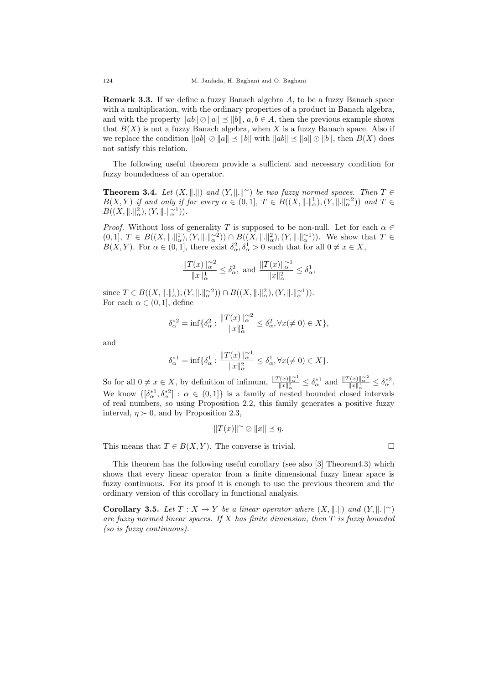Remark 3.3. If we define a fuzzy Banach algebra A, to be a fuzzy Banach space with a multiplication, with the ordinary properties of a product in Banach algebra, and with the property  $||ab|| \oslash ||a|| \preceq ||b||$ ,  $a, b \in A$ , then the previous example shows that  $B(X)$  is not a fuzzy Banach algebra, when X is a fuzzy Banach space. Also if we replace the condition  $||ab|| \otimes ||a|| \preceq ||b||$  with  $||ab|| \preceq ||a|| \odot ||b||$ , then  $B(X)$  does not satisfy this relation.

The following useful theorem provide a sufficient and necessary condition for fuzzy boundedness of an operator.

**Theorem 3.4.** Let  $(X, \|\cdot\|)$  and  $(Y, \|\cdot\|^{\sim})$  be two fuzzy normed spaces. Then  $T \in$  $B(X,Y)$  if and only if for every  $\alpha \in (0,1], T \in B((X, \|\cdot\|_{\alpha}^1), (Y, \|\cdot\|_{\alpha}^{\alpha_2}))$  and  $T \in$  $B((X, \|.\|_{\alpha}^2), (Y, \|.\|_{\alpha}^{\sim 1})).$ 

*Proof.* Without loss of generality T is supposed to be non-null. Let for each  $\alpha \in$  $(0,1], T \in B((X, \|\cdot\|_{\alpha}^{1}), (Y, \|\cdot\|_{\alpha}^{\infty})) \cap B((X, \|\cdot\|_{\alpha}^{2}), (Y, \|\cdot\|_{\alpha}^{\infty})).$  We show that  $T \in$  $B(X,Y)$ . For  $\alpha \in (0,1]$ , there exist  $\delta^2_{\alpha}, \delta^1_{\alpha} > 0$  such that for all  $0 \neq x \in X$ ,

$$
\frac{\|T(x)\|_{\alpha}^{\sim 2}}{\|x\|_{\alpha}^{1}} \leq \delta_{\alpha}^{2}, \text{ and } \frac{\|T(x)\|_{\alpha}^{\sim 1}}{\|x\|_{\alpha}^{2}} \leq \delta_{\alpha}^{1},
$$

since  $T \in B((X, \| \|_{\alpha}^1), (Y, \| \|_{\alpha}^{-2})) \cap B((X, \| \|_{\alpha}^2), (Y, \| \|_{\alpha}^{-1})).$ For each  $\alpha \in (0,1]$ , define

$$
\delta_{\alpha}^{*2} = \inf \{ \delta_{\alpha}^2 : \frac{\|T(x)\|_{\alpha}^{\sim 2}}{\|x\|_{\alpha}^1} \le \delta_{\alpha}^2, \forall x (\neq 0) \in X \},\
$$

and

$$
\delta_{\alpha}^{*1} = \inf \{ \delta_{\alpha}^{1} : \frac{\|T(x)\|_{\alpha}^{\sim 1}}{\|x\|_{\alpha}^{2}} \leq \delta_{\alpha}^{1}, \forall x (\neq 0) \in X \}.
$$

So for all  $0 \neq x \in X$ , by definition of infimum,  $\frac{||T(x)||_{\alpha}^{\infty1}}{||x||_{\alpha}^2} \leq \delta_{\alpha}^{*1}$  and  $\frac{||T(x)||_{\alpha}^{\infty2}}{||x||_{\alpha}^1} \leq \delta_{\alpha}^{*2}$ . We know  $\{[\delta_\alpha^{\ast 1}, \delta_\alpha^{\ast 2}] : \alpha \in (0,1]\}$  is a family of nested bounded closed intervals of real numbers, so using Proposition 2.2, this family generates a positive fuzzy interval,  $\eta \succ 0$ , and by Proposition 2.3,

$$
||T(x)||^{\sim} \oslash ||x|| \preceq \eta.
$$

This means that  $T \in B(X, Y)$ . The converse is trivial.

This theorem has the following useful corollary (see also [3] Theorem4.3) which shows that every linear operator from a finite dimensional fuzzy linear space is fuzzy continuous. For its proof it is enough to use the previous theorem and the ordinary version of this corollary in functional analysis.

Corollary 3.5. Let  $T: X \to Y$  be a linear operator where  $(X, \|\cdot\|)$  and  $(Y, \|\cdot\|^{\infty})$ are fuzzy normed linear spaces. If  $X$  has finite dimension, then  $T$  is fuzzy bounded (so is fuzzy continuous).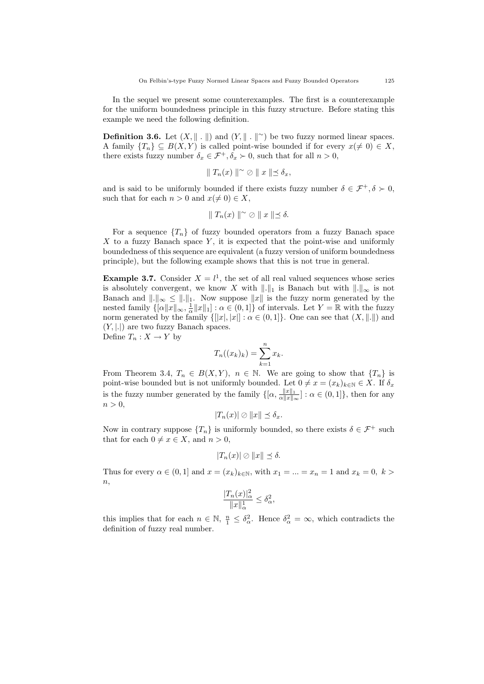In the sequel we present some counterexamples. The first is a counterexample for the uniform boundedness principle in this fuzzy structure. Before stating this example we need the following definition.

**Definition 3.6.** Let  $(X, \| \| \cdot \|)$  and  $(Y, \| \| \cdot \|^{\infty})$  be two fuzzy normed linear spaces. A family  $\{T_n\} \subseteq B(X, Y)$  is called point-wise bounded if for every  $x (\neq 0) \in X$ , there exists fuzzy number  $\delta_x \in \mathcal{F}^+, \delta_x \succ 0$ , such that for all  $n > 0$ ,

$$
\|T_n(x)\|^\sim \oslash \|x\| \preceq \delta_x,
$$

and is said to be uniformly bounded if there exists fuzzy number  $\delta \in \mathcal{F}^+, \delta \succ 0$ , such that for each  $n > 0$  and  $x (\neq 0) \in X$ ,

$$
\|T_n(x)\|^\sim \oslash \|x\| \le \delta.
$$

For a sequence  $\{T_n\}$  of fuzzy bounded operators from a fuzzy Banach space  $X$  to a fuzzy Banach space  $Y$ , it is expected that the point-wise and uniformly boundedness of this sequence are equivalent (a fuzzy version of uniform boundedness principle), but the following example shows that this is not true in general.

**Example 3.7.** Consider  $X = l<sup>1</sup>$ , the set of all real valued sequences whose series is absolutely convergent, we know X with  $\|.\|_1$  is Banach but with  $\|.\|_{\infty}$  is not Banach and  $\|.\|_{\infty} \leq \|.\|_1$ . Now suppose  $\|x\|$  is the fuzzy norm generated by the nested family  $\{[\alpha ||x||_{\infty}, \frac{1}{\alpha} ||x||_1] : \alpha \in (0, 1]\}$  of intervals. Let  $Y = \mathbb{R}$  with the fuzzy norm generated by the family  $\{[[x], [x]] : \alpha \in (0,1]\}.$  One can see that  $(X, \|\cdot\|)$  and  $(Y, |.|)$  are two fuzzy Banach spaces. Define  $T_n: X \to Y$  by

$$
T_n((x_k)_k) = \sum_{k=1}^n x_k.
$$

From Theorem 3.4,  $T_n \in B(X, Y)$ ,  $n \in \mathbb{N}$ . We are going to show that  $\{T_n\}$  is point-wise bounded but is not uniformly bounded. Let  $0 \neq x = (x_k)_{k \in \mathbb{N}} \in X$ . If  $\delta_x$ is the fuzzy number generated by the family  $\{[\alpha, \frac{\|x\|_1}{\alpha\|x\|}]$  $\frac{\|x\|_1}{\alpha \|x\|_{\infty}}$ :  $\alpha \in (0, 1]$ , then for any  $n > 0$ ,

$$
|T_n(x)| \oslash ||x|| \preceq \delta_x.
$$

Now in contrary suppose  $\{T_n\}$  is uniformly bounded, so there exists  $\delta \in \mathcal{F}^+$  such that for each  $0 \neq x \in X$ , and  $n > 0$ ,

$$
|T_n(x)| \oslash ||x|| \preceq \delta.
$$

Thus for every  $\alpha \in (0,1]$  and  $x = (x_k)_{k \in \mathbb{N}}$ , with  $x_1 = ... = x_n = 1$  and  $x_k = 0$ ,  $k >$  $\overline{n}$ ,

$$
\frac{|T_n(x)|_\alpha^2}{\|x\|_\alpha^1} \le \delta_\alpha^2,
$$

this implies that for each  $n \in \mathbb{N}$ ,  $\frac{n}{1} \leq \delta_{\alpha}^2$ . Hence  $\delta_{\alpha}^2 = \infty$ , which contradicts the definition of fuzzy real number.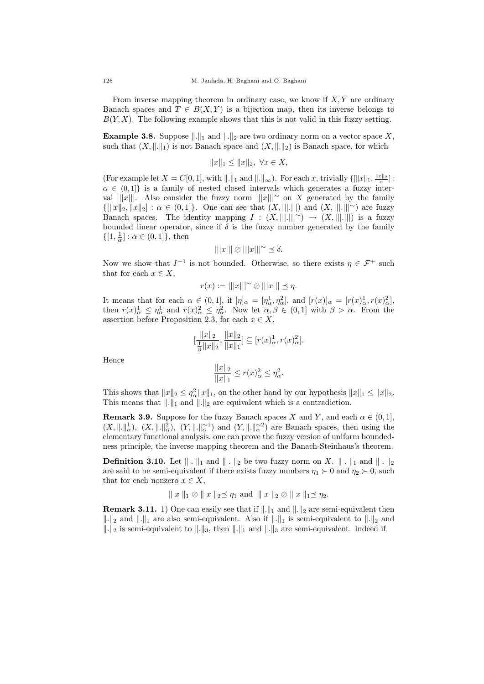From inverse mapping theorem in ordinary case, we know if  $X, Y$  are ordinary Banach spaces and  $T \in B(X, Y)$  is a bijection map, then its inverse belongs to  $B(Y, X)$ . The following example shows that this is not valid in this fuzzy setting.

**Example 3.8.** Suppose  $\|.\|_1$  and  $\|.\|_2$  are two ordinary norm on a vector space X, such that  $(X, \|\cdot\|_1)$  is not Banach space and  $(X, \|\cdot\|_2)$  is Banach space, for which

$$
||x||_1 \le ||x||_2, \ \forall x \in X,
$$

(For example let  $X = C[0, 1]$ , with  $\|.\|_1$  and  $\|.\|_{\infty}$ ). For each x, trivially  $\{\|x\|_1, \frac{\|x\|_2}{\alpha}\}$ :  $\alpha \in (0,1]$ } is a family of nested closed intervals which generates a fuzzy interval  $\|x\|$ . Also consider the fuzzy norm  $\|x\|$ | $\sim$  on X generated by the family  ${[[x]_2, \|x\|_2] : \alpha \in (0,1]}$ . One can see that  $(X, |||.|||)$  and  $(X, |||.|||^\sim)$  are fuzzy Banach spaces. The identity mapping  $I : (X, |||.|||^\sim) \to (X, |||.|||)$  is a fuzzy bounded linear operator, since if  $\delta$  is the fuzzy number generated by the family  $\{[1, \frac{1}{\alpha}] : \alpha \in (0, 1]\},\$ then

$$
|||x||| \oslash |||x|||^\sim \preceq \delta.
$$

Now we show that  $I^{-1}$  is not bounded. Otherwise, so there exists  $\eta \in \mathcal{F}^+$  such that for each  $x \in X$ ,

$$
r(x) := |||x|||^\sim \oslash |||x||| \preceq \eta.
$$

It means that for each  $\alpha \in (0,1]$ , if  $[\eta]_{\alpha} = [\eta_{\alpha}^1, \eta_{\alpha}^2]$ , and  $[r(x)]_{\alpha} = [r(x)]_{\alpha}^1, r(x)]_{\alpha}^2$ , then  $r(x)_{\alpha}^1 \leq \eta_{\alpha}^1$  and  $r(x)_{\alpha}^2 \leq \eta_{\alpha}^2$ . Now let  $\alpha, \beta \in (0,1]$  with  $\beta > \alpha$ . From the assertion before Proposition 2.3, for each  $x \in X$ ,

$$
[\frac{\|x\|_2}{\frac{1}{\beta}\|x\|_2}, \frac{\|x\|_2}{\|x\|_1}] \subseteq [r(x)_{\alpha}^1, r(x)_{\alpha}^2].
$$

Hence

$$
\frac{\|x\|_2}{\|x\|_1} \le r(x)_{\alpha}^2 \le \eta_{\alpha}^2.
$$

This shows that  $||x||_2 \leq \eta_{\alpha}^2 ||x||_1$ , on the other hand by our hypothesis  $||x||_1 \leq ||x||_2$ . This means that  $\|.\|_1$  and  $\|.\|_2$  are equivalent which is a contradiction.

**Remark 3.9.** Suppose for the fuzzy Banach spaces X and Y, and each  $\alpha \in (0,1]$ ,  $(X, \|\cdot\|_{\alpha}^{1}), (X, \|\cdot\|_{\alpha}^{2}), (Y, \|\cdot\|_{\alpha}^{-1})$  and  $(Y, \|\cdot\|_{\alpha}^{-2})$  are Banach spaces, then using the elementary functional analysis, one can prove the fuzzy version of uniform boundedness principle, the inverse mapping theorem and the Banach-Steinhaus's theorem.

**Definition 3.10.** Let  $\|\cdot\|_1$  and  $\|\cdot\|_2$  be two fuzzy norm on X.  $\|\cdot\|_1$  and  $\|\cdot\|_2$ are said to be semi-equivalent if there exists fuzzy numbers  $\eta_1 \succ 0$  and  $\eta_2 \succ 0$ , such that for each nonzero  $x \in X$ ,

$$
||x||_1 \oslash ||x||_2 \preceq \eta_1
$$
 and  $||x||_2 \oslash ||x||_1 \preceq \eta_2$ .

**Remark 3.11.** 1) One can easily see that if  $\Vert . \Vert_1$  and  $\Vert . \Vert_2$  are semi-equivalent then  $\|\cdot\|_2$  and  $\|\cdot\|_1$  are also semi-equivalent. Also if  $\|\cdot\|_1$  is semi-equivalent to  $\|\cdot\|_2$  and  $\|\cdot\|_2$  is semi-equivalent to  $\|\cdot\|_3$ , then  $\|\cdot\|_1$  and  $\|\cdot\|_3$  are semi-equivalent. Indeed if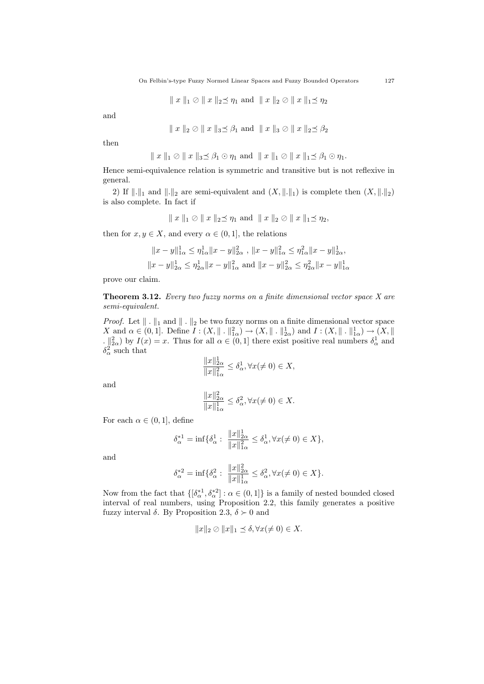$$
\parallel x \parallel_1 \oslash \parallel x \parallel_2 \preceq \eta_1 \text{ and } \parallel x \parallel_2 \oslash \parallel x \parallel_1 \preceq \eta_2
$$

and

$$
\parallel x \parallel_2 \oslash \parallel x \parallel_3 \preceq \beta_1 \text{ and } \parallel x \parallel_3 \oslash \parallel x \parallel_2 \preceq \beta_2
$$

then

$$
|| x ||_1 \oslash || x ||_3 \preceq \beta_1 \odot \eta_1
$$
 and  $|| x ||_1 \oslash || x ||_1 \preceq \beta_1 \odot \eta_1$ .

Hence semi-equivalence relation is symmetric and transitive but is not reflexive in general.

2) If  $\|\cdot\|_1$  and  $\|\cdot\|_2$  are semi-equivalent and  $(X, \|\cdot\|_1)$  is complete then  $(X, \|\cdot\|_2)$ is also complete. In fact if

$$
|| x ||_1 \oslash || x ||_2 \preceq \eta_1
$$
 and  $|| x ||_2 \oslash || x ||_1 \preceq \eta_2$ ,

then for  $x, y \in X$ , and every  $\alpha \in (0, 1]$ , the relations

$$
||x - y||_{1\alpha}^{1} \leq \eta_{1\alpha}^{1} ||x - y||_{2\alpha}^{2}, \quad ||x - y||_{1\alpha}^{2} \leq \eta_{1\alpha}^{2} ||x - y||_{2\alpha}^{1},
$$
  

$$
||x - y||_{2\alpha}^{1} \leq \eta_{2\alpha}^{1} ||x - y||_{1\alpha}^{2} \text{ and } ||x - y||_{2\alpha}^{2} \leq \eta_{2\alpha}^{2} ||x - y||_{1\alpha}^{1}
$$

prove our claim.

**Theorem 3.12.** Every two fuzzy norms on a finite dimensional vector space  $X$  are semi-equivalent.

*Proof.* Let  $\|\cdot\|_1$  and  $\|\cdot\|_2$  be two fuzzy norms on a finite dimensional vector space X and  $\alpha \in (0,1]$ . Define  $I: (X, \|\cdot\|_{1\alpha}^2) \to (X, \|\cdot\|_{2\alpha}^1)$  and  $I: (X, \|\cdot\|_{1\alpha}^1) \to (X, \|\cdot\|_{2\alpha}^2)$  $\lfloor x \rfloor_{2\alpha}^2$  by  $I(x) = x$ . Thus for all  $\alpha \in (0, 1]$  there exist positive real numbers  $\delta^1_{\alpha}$  and  $\delta_{\alpha}^2$  such that  $\|x\|^1$ 

$$
\frac{\|x\|_{2\alpha}^1}{\|x\|_{1\alpha}^2} \le \delta_\alpha^1, \forall x (\neq 0) \in X,
$$

and

$$
\frac{\|x\|_{2\alpha}^2}{\|x\|_{1\alpha}^1} \le \delta_\alpha^2, \forall x (\neq 0) \in X.
$$

For each  $\alpha \in (0,1]$ , define

$$
\delta_{\alpha}^{*1} = \inf \{ \delta_{\alpha}^1 : \frac{\|x\|_{2\alpha}^1}{\|x\|_{1\alpha}^2} \le \delta_{\alpha}^1, \forall x (\neq 0) \in X \},\
$$

and

$$
\delta_{\alpha}^{*2} = \inf \{ \delta_{\alpha}^2 : \frac{\|x\|_{2\alpha}^2}{\|x\|_{1\alpha}^1} \le \delta_{\alpha}^2, \forall x (\neq 0) \in X \}.
$$

Now from the fact that  $\{[\delta_\alpha^{\ast 1}, \delta_\alpha^{\ast 2}] : \alpha \in (0, 1]\}$  is a family of nested bounded closed interval of real numbers, using Proposition 2.2, this family generates a positive fuzzy interval  $\delta$ . By Proposition 2.3,  $\delta \succ 0$  and

$$
||x||_2 \oslash ||x||_1 \preceq \delta, \forall x (\neq 0) \in X.
$$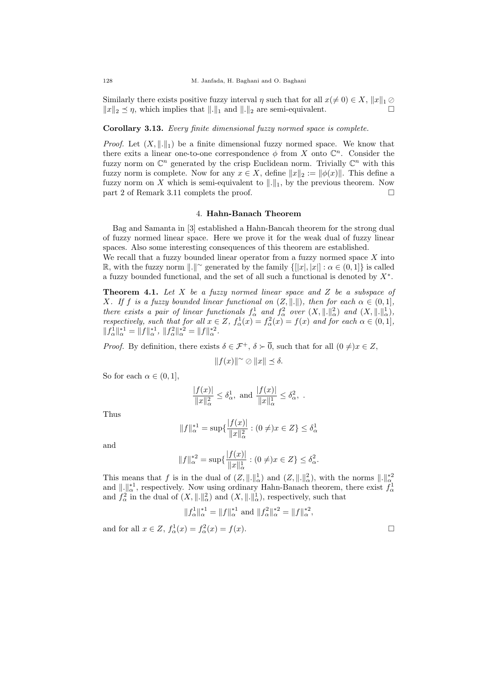Similarly there exists positive fuzzy interval  $\eta$  such that for all  $x(\neq 0) \in X$ ,  $||x||_1 \oslash$  $||x||_2 \preceq \eta$ , which implies that  $||.||_1$  and  $||.||_2$  are semi-equivalent.

# Corollary 3.13. Every finite dimensional fuzzy normed space is complete.

*Proof.* Let  $(X, \|\cdot\|_1)$  be a finite dimensional fuzzy normed space. We know that there exits a linear one-to-one correspondence  $\phi$  from X onto  $\mathbb{C}^n$ . Consider the fuzzy norm on  $\mathbb{C}^n$  generated by the crisp Euclidean norm. Trivially  $\mathbb{C}^n$  with this fuzzy norm is complete. Now for any  $x \in X$ , define  $||x||_2 := ||\phi(x)||$ . This define a fuzzy norm on X which is semi-equivalent to  $\Vert .\Vert_1$ , by the previous theorem. Now part 2 of Remark 3.11 complets the proof.

#### 4. Hahn-Banach Theorem

Bag and Samanta in [3] established a Hahn-Bancah theorem for the strong dual of fuzzy normed linear space. Here we prove it for the weak dual of fuzzy linear spaces. Also some interesting consequences of this theorem are established.

We recall that a fuzzy bounded linear operator from a fuzzy normed space  $X$  into  $\mathbb{R}$ , with the fuzzy norm  $\|.\|^{\sim}$  generated by the family  $\{[[x],[x]] : \alpha \in (0,1]\}$  is called a fuzzy bounded functional, and the set of all such a functional is denoted by  $X^*$ .

**Theorem 4.1.** Let  $X$  be a fuzzy normed linear space and  $Z$  be a subspace of X. If f is a fuzzy bounded linear functional on  $(Z, \|\cdot\|)$ , then for each  $\alpha \in (0, 1]$ , there exists a pair of linear functionals  $f^1_\alpha$  and  $f^2_\alpha$  over  $(X, \|\cdot\|^2_\alpha)$  and  $(X, \|\cdot\|^1_\alpha)$ , respectively, such that for all  $x \in Z$ ,  $f^1_\alpha(x) = f^2_\alpha(x) = f(x)$  and for each  $\alpha \in (0,1]$ ,  $||f_\alpha^1||_\alpha^{*1} = ||f||_\alpha^{*1}, ||f_\alpha^2||_\alpha^{*2} = ||f||_\alpha^{*2}.$ 

*Proof.* By definition, there exists  $\delta \in \mathcal{F}^+$ ,  $\delta \succ \overline{0}$ , such that for all  $(0 \neq)x \in Z$ ,

$$
||f(x)||^{\sim} \oslash ||x|| \preceq \delta.
$$

So for each  $\alpha \in (0,1]$ ,

$$
\frac{|f(x)|}{\|x\|_\alpha^2} \le \delta_\alpha^1, \text{ and } \frac{|f(x)|}{\|x\|_\alpha^1} \le \delta_\alpha^2, .
$$

Thus

$$
||f||_{\alpha}^{*1} = \sup \{ \frac{|f(x)|}{||x||_{\alpha}^{2}} : (0 \neq)x \in Z \} \leq \delta_{\alpha}^{1}
$$

and

$$
||f||_{\alpha}^{*2} = \sup \{ \frac{|f(x)|}{||x||_{\alpha}^{1}} : (0 \neq)x \in Z \} \leq \delta_{\alpha}^{2}.
$$

This means that f is in the dual of  $(Z, ||.||_{\alpha}^{1})$  and  $(Z, ||.||_{\alpha}^{2})$ , with the norms  $||.||_{\alpha}^{*2}$ <br>and  $||.||_{\alpha}^{*1}$ , respectively. Now using ordinary Hahn-Banach theorem, there exist  $f_{\alpha}^{1}$ <br>and  $f_{\alpha}^{2}$  in the dua

$$
||f_{\alpha}^{1}||_{\alpha}^{*1} = ||f||_{\alpha}^{*1} \text{ and } ||f_{\alpha}^{2}||_{\alpha}^{*2} = ||f||_{\alpha}^{*2},
$$

and for all  $x \in Z$ ,  $f^1_\alpha(x) = f^2_\alpha(x) = f(x)$ .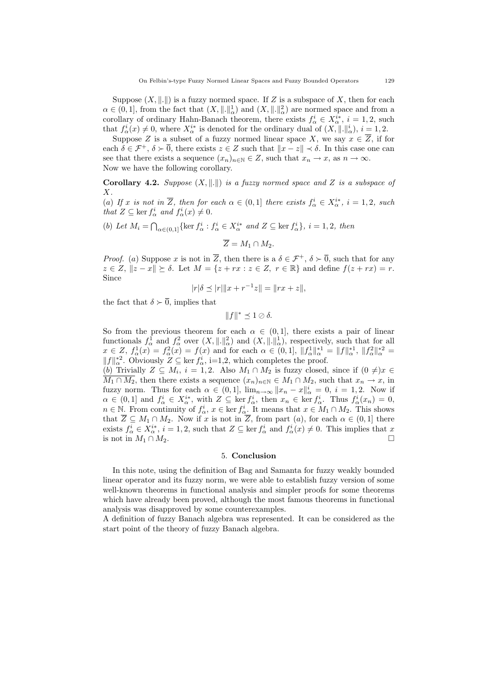Suppose  $(X, \|.\|)$  is a fuzzy normed space. If Z is a subspace of X, then for each  $\alpha \in (0,1]$ , from the fact that  $(X, \| \|_{\alpha}^1)$  and  $(X, \| \|_{\alpha}^2)$  are normed space and from a corollary of ordinary Hahn-Banach theorem, there exists  $f^i_\alpha \in X^{i*}_\alpha$ ,  $i = 1, 2$ , such that  $f^i_\alpha(x) \neq 0$ , where  $X^{i*}_\alpha$  is denoted for the ordinary dual of  $(X, \|\cdot\|_\alpha^i)$ ,  $i = 1, 2$ .

Suppose Z is a subset of a fuzzy normed linear space X, we say  $x \in \overline{Z}$ , if for each  $\delta \in \mathcal{F}^+$ ,  $\delta \succ \overline{0}$ , there exists  $z \in Z$  such that  $||x - z|| \prec \delta$ . In this case one can see that there exists a sequence  $(x_n)_{n\in\mathbb{N}}\in\mathbb{Z}$ , such that  $x_n\to x$ , as  $n\to\infty$ . Now we have the following corollary.

Corollary 4.2. Suppose  $(X, \|\cdot\|)$  is a fuzzy normed space and Z is a subspace of  $X<sub>l</sub>$ 

(a) If x is not in  $\overline{Z}$ , then for each  $\alpha \in (0,1]$  there exists  $f^i_{\alpha} \in X^{i*}_{\alpha}$ ,  $i = 1,2$ , such that  $Z \subseteq \text{ker } f^i_\alpha$  and  $f^i_\alpha(x) \neq 0$ .

(b) Let  $M_i = \bigcap_{\alpha \in (0,1]} \{\ker f^i_\alpha : f^i_\alpha \in X_\alpha^{i*} \text{ and } Z \subseteq \ker f^i_\alpha\}, i = 1,2, \text{ then}$ 

$$
\overline{Z}=M_1\cap M_2.
$$

*Proof.* (a) Suppose x is not in  $\overline{Z}$ , then there is a  $\delta \in \mathcal{F}^+$ ,  $\delta \succ \overline{0}$ , such that for any  $z \in Z$ ,  $||z - x|| \succeq \delta$ . Let  $M = \{z + rx : z \in Z, r \in \mathbb{R}\}\$  and define  $f(z + rx) = r$ . Since

$$
|r|\delta \preceq |r| \|x + r^{-1}z\| = \|rx + z\|,
$$

the fact that  $\delta \succ 0$ , implies that

 $||f||^* \preceq 1 \oslash \delta.$ 

So from the previous theorem for each  $\alpha \in (0,1]$ , there exists a pair of linear functionals  $f^1_\alpha$  and  $f^2_\alpha$  over  $(X, \|.\|^2_\alpha)$  and  $(X, \|.\|^1_\alpha)$ , respectively, such that for all  $x \in Z$ ,  $f^1_\alpha(x) = f^2_\alpha(x) = f(x)$  and for each  $\alpha \in (0,1]$ ,  $||f^1_\alpha||^{*1}_\alpha = ||f||^{*1}_\alpha$ ,  $||f^2_\alpha||^{*2}_\alpha =$  $||f||_{\alpha}^{*2}$ . Obviously  $Z \subseteq \text{ker } f_{\alpha}^{i}$ , i=1,2, which completes the proof.

(b) Trivially  $Z \subseteq M_i$ ,  $i = 1, 2$ . Also  $M_1 \cap M_2$  is fuzzy closed, since if  $(0 \neq)x \in$  $\overline{M_1 \cap M_2}$ , then there exists a sequence  $(x_n)_{n \in \mathbb{N}} \in M_1 \cap M_2$ , such that  $x_n \to x$ , in fuzzy norm. Thus for each  $\alpha \in (0,1]$ ,  $\lim_{n\to\infty} ||x_n - x||_{\alpha}^i = 0$ ,  $i = 1,2$ . Now if  $\alpha \in (0,1]$  and  $f^i_\alpha \in X^{i*}_\alpha$ , with  $Z \subseteq \ker f^i_\alpha$ , then  $x_n \in \ker f^i_\alpha$ . Thus  $f^i_\alpha(x_n) = 0$ ,  $n \in \mathbb{N}$ . From continuity of  $f^i_\alpha$ ,  $x \in \text{ker } f^i_\alpha$ . It means that  $x \in M_1 \cap M_2$ . This shows that  $\overline{Z} \subseteq M_1 \cap M_2$ . Now if x is not in  $\overline{Z}$ , from part  $(a)$ , for each  $\alpha \in (0,1]$  there exists  $f^i_\alpha \in X^{i*}_\alpha$ ,  $i = 1, 2$ , such that  $Z \subseteq \ker f^i_\alpha$  and  $f^i_\alpha(x) \neq 0$ . This implies that x is not in  $M_1 \cap M_2$ .

### 5. Conclusion

In this note, using the definition of Bag and Samanta for fuzzy weakly bounded linear operator and its fuzzy norm, we were able to establish fuzzy version of some well-known theorems in functional analysis and simpler proofs for some theorems which have already been proved, although the most famous theorems in functional analysis was disapproved by some counterexamples.

A definition of fuzzy Banach algebra was represented. It can be considered as the start point of the theory of fuzzy Banach algebra.